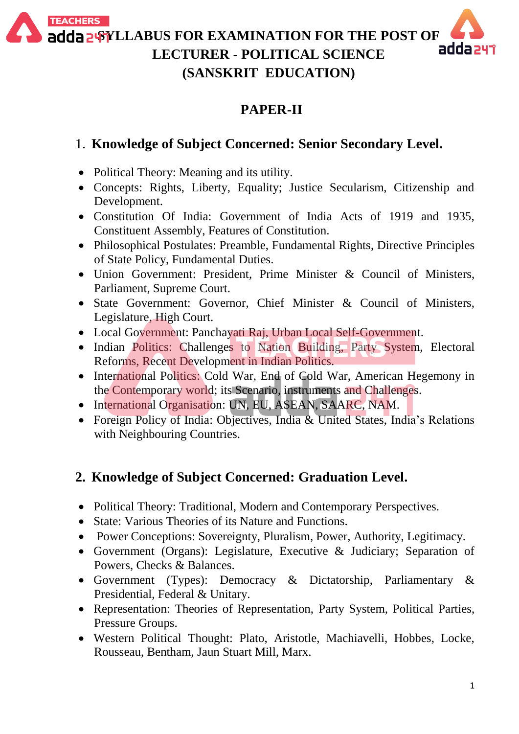**TEACHERS** adda 2%YLLABUS FOR EXAMINATION FOR THE POST OF **LECTURER - POLITICAL SCIENCE**



#### **PAPER-II**

**(SANSKRIT EDUCATION)**

### 1. **Knowledge of Subject Concerned: Senior Secondary Level.**

- Political Theory: Meaning and its utility.
- Concepts: Rights, Liberty, Equality; Justice Secularism, Citizenship and Development.
- Constitution Of India: Government of India Acts of 1919 and 1935, Constituent Assembly, Features of Constitution.
- Philosophical Postulates: Preamble, Fundamental Rights, Directive Principles of State Policy, Fundamental Duties.
- Union Government: President, Prime Minister & Council of Ministers, Parliament, Supreme Court.
- State Government: Governor, Chief Minister & Council of Ministers, Legislature, High Court.
- Local Government: Panchayati Raj, Urban Local Self-Government.
- Indian Politics: Challenges to Nation Building, Party System, Electoral Reforms, Recent Development in Indian Politics.
- International Politics: Cold War, End of Cold War, American Hegemony in the Contemporary world; its Scenario, instruments and Challenges.
- International Organisation: UN, EU, ASEAN, SAARC, NAM.
- Foreign Policy of India: Objectives, India & United States, India's Relations with Neighbouring Countries.

## **2. Knowledge of Subject Concerned: Graduation Level.**

- Political Theory: Traditional, Modern and Contemporary Perspectives.
- State: Various Theories of its Nature and Functions.
- Power Conceptions: Sovereignty, Pluralism, Power, Authority, Legitimacy.
- Government (Organs): Legislature, Executive & Judiciary; Separation of Powers, Checks & Balances.
- Government (Types): Democracy & Dictatorship, Parliamentary & Presidential, Federal & Unitary.
- Representation: Theories of Representation, Party System, Political Parties, Pressure Groups.
- Western Political Thought: Plato, Aristotle, Machiavelli, Hobbes, Locke, Rousseau, Bentham, Jaun Stuart Mill, Marx.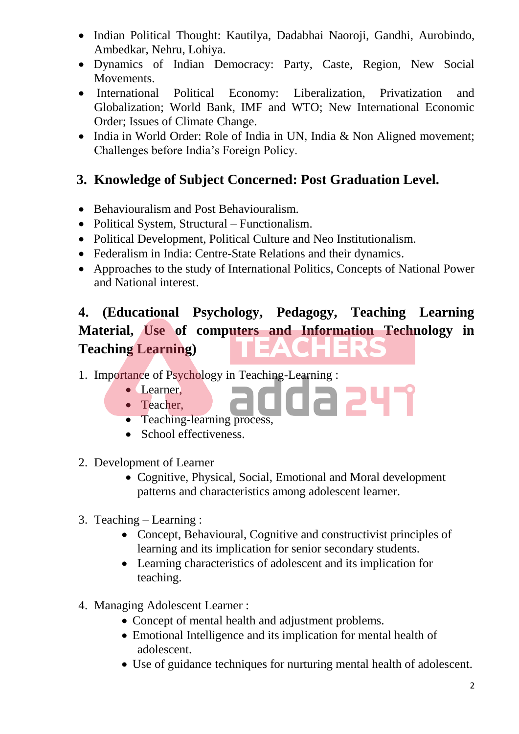- Indian Political Thought: Kautilya, Dadabhai Naoroji, Gandhi, Aurobindo, Ambedkar, Nehru, Lohiya.
- Dynamics of Indian Democracy: Party, Caste, Region, New Social Movements.
- International Political Economy: Liberalization, Privatization and Globalization; World Bank, IMF and WTO; New International Economic Order; Issues of Climate Change.
- India in World Order: Role of India in UN, India & Non Aligned movement; Challenges before India's Foreign Policy.

## **3. Knowledge of Subject Concerned: Post Graduation Level.**

- Behaviouralism and Post Behaviouralism.
- Political System, Structural Functionalism.
- Political Development, Political Culture and Neo Institutionalism.
- Federalism in India: Centre-State Relations and their dynamics.
- Approaches to the study of International Politics, Concepts of National Power and National interest.

# **4. (Educational Psychology, Pedagogy, Teaching Learning Material, Use of computers and Information Technology in Teaching Learning)**

1. Importance of Psychology in Teaching-Learning :

- Learner,
- Teacher,
- Teaching-learning process,
- School effectiveness.
- 2. Development of Learner
	- Cognitive, Physical, Social, Emotional and Moral development patterns and characteristics among adolescent learner.
- 3. Teaching Learning :
	- Concept, Behavioural, Cognitive and constructivist principles of learning and its implication for senior secondary students.
	- Learning characteristics of adolescent and its implication for teaching.
- 4. Managing Adolescent Learner :
	- Concept of mental health and adjustment problems.
	- Emotional Intelligence and its implication for mental health of adolescent.
	- Use of guidance techniques for nurturing mental health of adolescent.